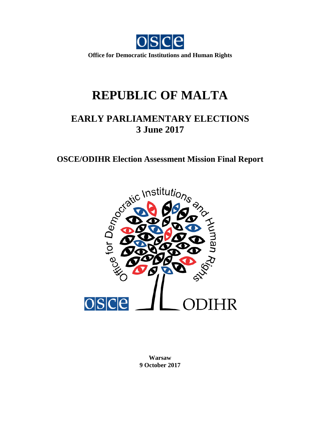

**Office for Democratic Institutions and Human Rights**

# **REPUBLIC OF MALTA**

## **EARLY PARLIAMENTARY ELECTIONS 3 June 2017**

**OSCE/ODIHR Election Assessment Mission Final Report** 



**Warsaw 9 October 2017**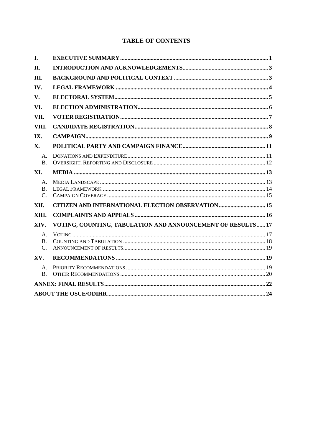## **TABLE OF CONTENTS**

| I.                                              |                                                              |  |
|-------------------------------------------------|--------------------------------------------------------------|--|
| II.                                             |                                                              |  |
| III.                                            |                                                              |  |
| IV.                                             |                                                              |  |
| V.                                              |                                                              |  |
| VI.                                             |                                                              |  |
| VII.                                            |                                                              |  |
| VIII.                                           |                                                              |  |
| IX.                                             |                                                              |  |
| <b>X</b> .                                      |                                                              |  |
| A.<br><b>B.</b>                                 |                                                              |  |
| XI.                                             |                                                              |  |
| $\mathsf{A}$ .<br>$\mathbf{B}$ .<br>$C_{\cdot}$ |                                                              |  |
| XII.                                            | <b>CITIZEN AND INTERNATIONAL ELECTION OBSERVATION  15</b>    |  |
| XIII.                                           |                                                              |  |
| XIV.                                            | VOTING, COUNTING, TABULATION AND ANNOUNCEMENT OF RESULTS  17 |  |
| Α.<br><b>B.</b><br>$C_{\cdot}$                  |                                                              |  |
| XV.                                             |                                                              |  |
| $A_{-}$<br>$\mathbf{B}$ .                       |                                                              |  |
|                                                 |                                                              |  |
|                                                 |                                                              |  |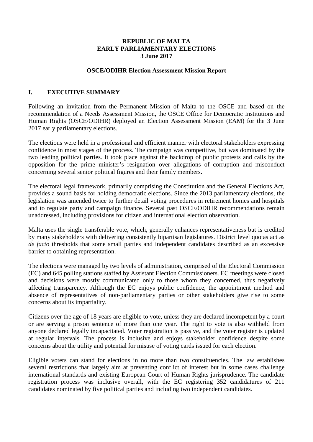#### **REPUBLIC OF MALTA EARLY PARLIAMENTARY ELECTIONS 3 June 2017**

#### **OSCE/ODIHR Election Assessment Mission Report**

#### <span id="page-2-0"></span>**I. EXECUTIVE SUMMARY**

Following an invitation from the Permanent Mission of Malta to the OSCE and based on the recommendation of a Needs Assessment Mission, the OSCE Office for Democratic Institutions and Human Rights (OSCE/ODIHR) deployed an Election Assessment Mission (EAM) for the 3 June 2017 early parliamentary elections.

The elections were held in a professional and efficient manner with electoral stakeholders expressing confidence in most stages of the process. The campaign was competitive, but was dominated by the two leading political parties. It took place against the backdrop of public protests and calls by the opposition for the prime minister's resignation over allegations of corruption and misconduct concerning several senior political figures and their family members.

The electoral legal framework, primarily comprising the Constitution and the General Elections Act, provides a sound basis for holding democratic elections. Since the 2013 parliamentary elections, the legislation was amended twice to further detail voting procedures in retirement homes and hospitals and to regulate party and campaign finance. Several past OSCE/ODIHR recommendations remain unaddressed, including provisions for citizen and international election observation.

Malta uses the single transferable vote, which, generally enhances representativeness but is credited by many stakeholders with delivering consistently bipartisan legislatures. District level quotas act as *de facto* thresholds that some small parties and independent candidates described as an excessive barrier to obtaining representation.

The elections were managed by two levels of administration, comprised of the Electoral Commission (EC) and 645 polling stations staffed by Assistant Election Commissioners. EC meetings were closed and decisions were mostly communicated only to those whom they concerned, thus negatively affecting transparency. Although the EC enjoys public confidence, the appointment method and absence of representatives of non-parliamentary parties or other stakeholders give rise to some concerns about its impartiality.

Citizens over the age of 18 years are eligible to vote, unless they are declared incompetent by a court or are serving a prison sentence of more than one year. The right to vote is also withheld from anyone declared legally incapacitated. Voter registration is passive, and the voter register is updated at regular intervals. The process is inclusive and enjoys stakeholder confidence despite some concerns about the utility and potential for misuse of voting cards issued for each election.

Eligible voters can stand for elections in no more than two constituencies. The law establishes several restrictions that largely aim at preventing conflict of interest but in some cases challenge international standards and existing European Court of Human Rights jurisprudence. The candidate registration process was inclusive overall, with the EC registering 352 candidatures of 211 candidates nominated by five political parties and including two independent candidates.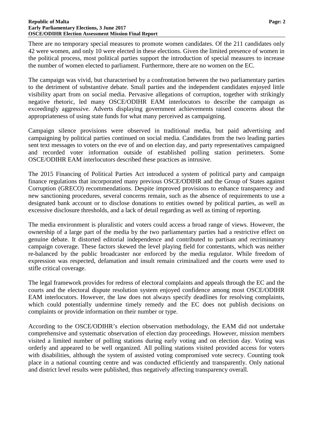#### **Republic of Malta** Page: 2 **Early Parliamentary Elections, 3 June 2017 OSCE/ODIHR Election Assessment Mission Final Report**

There are no temporary special measures to promote women candidates. Of the 211 candidates only 42 were women, and only 10 were elected in these elections. Given the limited presence of women in the political process, most political parties support the introduction of special measures to increase the number of women elected to parliament. Furthermore, there are no women on the EC.

The campaign was vivid, but characterised by a confrontation between the two parliamentary parties to the detriment of substantive debate. Small parties and the independent candidates enjoyed little visibility apart from on social media. Pervasive allegations of corruption, together with strikingly negative rhetoric, led many OSCE/ODIHR EAM interlocutors to describe the campaign as exceedingly aggressive. Adverts displaying government achievements raised concerns about the appropriateness of using state funds for what many perceived as campaigning.

Campaign silence provisions were observed in traditional media, but paid advertising and campaigning by political parties continued on social media. Candidates from the two leading parties sent text messages to voters on the eve of and on election day, and party representatives campaigned and recorded voter information outside of established polling station perimeters. Some OSCE/ODIHR EAM interlocutors described these practices as intrusive.

The 2015 Financing of Political Parties Act introduced a system of political party and campaign finance regulations that incorporated many previous OSCE/ODIHR and the Group of States against Corruption (GRECO) recommendations. Despite improved provisions to enhance transparency and new sanctioning procedures, several concerns remain, such as the absence of requirements to use a designated bank account or to disclose donations to entities owned by political parties, as well as excessive disclosure thresholds, and a lack of detail regarding as well as timing of reporting.

The media environment is pluralistic and voters could access a broad range of views. However, the ownership of a large part of the media by the two parliamentary parties had a restrictive effect on genuine debate. It distorted editorial independence and contributed to partisan and recriminatory campaign coverage. These factors skewed the level playing field for contestants, which was neither re-balanced by the public broadcaster nor enforced by the media regulator. While freedom of expression was respected, defamation and insult remain criminalized and the courts were used to stifle critical coverage.

The legal framework provides for redress of electoral complaints and appeals through the EC and the courts and the electoral dispute resolution system enjoyed confidence among most OSCE/ODIHR EAM interlocutors. However, the law does not always specify deadlines for resolving complaints, which could potentially undermine timely remedy and the EC does not publish decisions on complaints or provide information on their number or type.

According to the OSCE/ODIHR's election observation methodology, the EAM did not undertake comprehensive and systematic observation of election day proceedings. However, mission members visited a limited number of polling stations during early voting and on election day. Voting was orderly and appeared to be well organized. All polling stations visited provided access for voters with disabilities, although the system of assisted voting compromised vote secrecy. Counting took place in a national counting centre and was conducted efficiently and transparently. Only national and district level results were published, thus negatively affecting transparency overall.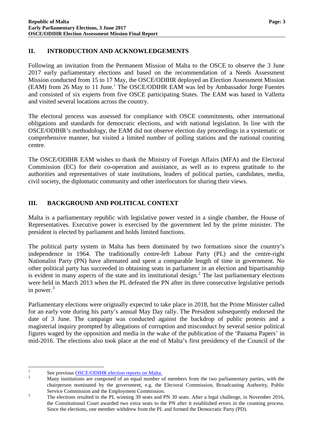#### <span id="page-4-0"></span>**II. INTRODUCTION AND ACKNOWLEDGEMENTS**

Following an invitation from the Permanent Mission of Malta to the OSCE to observe the 3 June 2017 early parliamentary elections and based on the recommendation of a Needs Assessment Mission conducted from 15 to 17 May, the OSCE/ODIHR deployed an Election Assessment Mission (EAM) from 26 May to [1](#page-4-2)1 June.<sup>1</sup> The OSCE/ODIHR EAM was led by Ambassador Jorge Fuentes and consisted of six experts from five OSCE participating States. The EAM was based in Valletta and visited several locations across the country.

The electoral process was assessed for compliance with OSCE commitments, other international obligations and standards for democratic elections, and with national legislation. In line with the OSCE/ODIHR's methodology, the EAM did not observe election day proceedings in a systematic or comprehensive manner, but visited a limited number of polling stations and the national counting centre.

The OSCE/ODIHR EAM wishes to thank the Ministry of Foreign Affairs (MFA) and the Electoral Commission (EC) for their co-operation and assistance, as well as to express gratitude to the authorities and representatives of state institutions, leaders of political parties, candidates, media, civil society, the diplomatic community and other interlocutors for sharing their views.

### <span id="page-4-1"></span>**III. BACKGROUND AND POLITICAL CONTEXT**

Malta is a parliamentary republic with legislative power vested in a single chamber, the House of Representatives. Executive power is exercised by the government led by the prime minister. The president is elected by parliament and holds limited functions.

The political party system in Malta has been dominated by two formations since the country's independence in 1964. The traditionally centre-left Labour Party (PL) and the centre-right Nationalist Party (PN) have alternated and spent a comparable length of time in government. No other political party has succeeded in obtaining seats in parliament in an election and bipartisanship is evident in many aspects of the state and its institutional design.<sup>[2](#page-4-3)</sup> The last parliamentary elections were held in March 2013 when the PL defeated the PN after its three consecutive legislative periods in power. $3$ 

Parliamentary elections were originally expected to take place in 2018, but the Prime Minister called for an early vote during his party's annual May Day rally. The President subsequently endorsed the date of 3 June. The campaign was conducted against the backdrop of public protests and a magisterial inquiry prompted by allegations of corruption and misconduct by several senior political figures waged by the opposition and media in the wake of the publication of the 'Panama Papers' in mid-2016. The elections also took place at the end of Malta's first presidency of the Council of the

<span id="page-4-3"></span><span id="page-4-2"></span>

<sup>&</sup>lt;sup>1</sup> See previous <u>OSCE/ODIHR election reports on Malta.</u><br><sup>2</sup> Many institutions are composed of an equal number of members from the two parliamentary parties, with the chairperson nominated by the government, e.g. the Electoral Commission, Broadcasting Authority, Public

<span id="page-4-4"></span>Service Commission and the Employment Commission.<br><sup>3</sup> The elections resulted in the PL winning 39 seats and PN 30 seats. After a legal challenge, in November 2016, the Constitutional Court awarded two extra seats to the PN after it established errors in the counting process. Since the elections, one member withdrew from the PL and formed the Democratic Party (PD).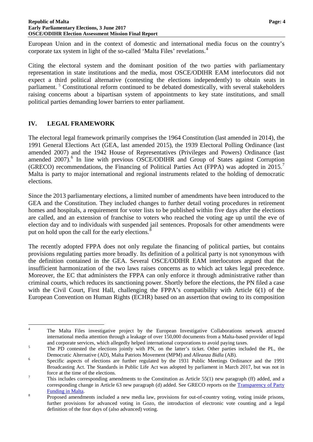European Union and in the context of domestic and international media focus on the country's corporate tax system in light of the so-called 'Malta Files' revelations.<sup>[4](#page-5-1)</sup>

Citing the electoral system and the dominant position of the two parties with parliamentary representation in state institutions and the media, most OSCE/ODIHR EAM interlocutors did not expect a third political alternative (contesting the elections independently) to obtain seats in parliament. [5](#page-5-2) Constitutional reform continued to be debated domestically, with several stakeholders raising concerns about a bipartisan system of appointments to key state institutions, and small political parties demanding lower barriers to enter parliament.

#### <span id="page-5-0"></span>**IV. LEGAL FRAMEWORK**

The electoral legal framework primarily comprises the 1964 Constitution (last amended in 2014), the 1991 General Elections Act (GEA, last amended 2015), the 1939 Electoral Polling Ordinance (last amended 2007) and the 1942 House of Representatives (Privileges and Powers) Ordinance (last amended  $2007$ .<sup>[6](#page-5-3)</sup> In line with previous OSCE/ODIHR and Group of States against Corruption (GRECO) recommendations, the Financing of Political Parties Act (FPPA) was adopted in 2015.[7](#page-5-4) Malta is party to major international and regional instruments related to the holding of democratic elections.

Since the 2013 parliamentary elections, a limited number of amendments have been introduced to the GEA and the Constitution. They included changes to further detail voting procedures in retirement homes and hospitals, a requirement for voter lists to be published within five days after the elections are called, and an extension of franchise to voters who reached the voting age up until the eve of election day and to individuals with suspended jail sentences. Proposals for other amendments were put on hold upon the call for the early elections.<sup>[8](#page-5-5)</sup>

The recently adopted FPPA does not only regulate the financing of political parties, but contains provisions regulating parties more broadly. Its definition of a political party is not synonymous with the definition contained in the GEA. Several OSCE/ODIHR EAM interlocutors argued that the insufficient harmonization of the two laws raises concerns as to which act takes legal precedence. Moreover, the EC that administers the FPPA can only enforce it through administrative rather than criminal courts, which reduces its sanctioning power. Shortly before the elections, the PN filed a case with the Civil Court, First Hall, challenging the FPPA's compatibility with Article 6(1) of the European Convention on Human Rights (ECHR) based on an assertion that owing to its composition

<span id="page-5-1"></span><sup>&</sup>lt;sup>4</sup> The Malta Files investigative project by the European Investigative Collaborations network attracted international media attention through a leakage of over 150,000 documents from a Malta-based provider of legal

<span id="page-5-2"></span><sup>&</sup>lt;sup>5</sup> The PD contested the elections jointly with PN, on the latter's ticket. Other parties included the PL, the <sup>5</sup> Democratic Alternative (AD), Malta Patriots Movement (MPM) and *Alleanza Bidla* (AB). <sup>6</sup> Specific aspects of elections are further regulated by the 1931 Public Meetings Ordinance and the 1991

<span id="page-5-3"></span>Broadcasting Act. The Standards in Public Life Act was adopted by parliament in March 2017, but was not in

<span id="page-5-4"></span>force at the time of the elections.<br>This includes corresponding amendments to the Constitution as Article 55(1) new paragraph (ff) added, and a corresponding change in Article 63 new paragraph (d) added. See GRECO reports on the [Transparency of Party](http://www.coe.int/en/web/greco/evaluations/round-3) 

<span id="page-5-5"></span>[Funding in Malta.](http://www.coe.int/en/web/greco/evaluations/round-3)<br><sup>8</sup> Proposed amendments included a new media law, provisions for out-of-country voting, voting inside prisons, further provisions for advanced voting in Gozo, the introduction of electronic vote counting and a legal definition of the four days of (also advanced) voting.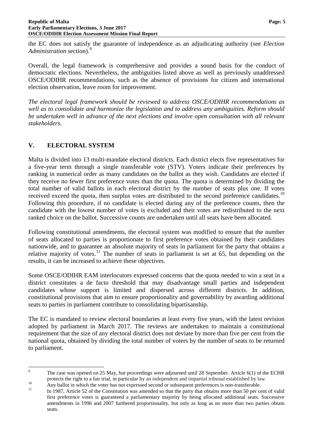the EC does not satisfy the guarantee of independence as an adjudicating authority (see *Election Administration* section).[9](#page-6-1)

Overall, the legal framework is comprehensive and provides a sound basis for the conduct of democratic elections. Nevertheless, the ambiguities listed above as well as previously unaddressed OSCE/ODIHR recommendations, such as the absence of provisions for citizen and international election observation, leave room for improvement.

*The electoral legal framework should be reviewed to address OSCE/ODIHR recommendations as well as to consolidate and harmonize the legislation and to address any ambiguities. Reform should be undertaken well in advance of the next elections and involve open consultation with all relevant stakeholders.*

## <span id="page-6-0"></span>**V. ELECTORAL SYSTEM**

Malta is divided into 13 multi-mandate electoral districts. Each district elects five representatives for a five-year term through a single transferable vote (STV). Voters indicate their preferences by ranking in numerical order as many candidates on the ballot as they wish. Candidates are elected if they receive no fewer first preference votes than the quota. The quota is determined by dividing the total number of valid ballots in each electoral district by the number of seats plus one. If votes received exceed the quota, then surplus votes are distributed to the second preference candidates.<sup>[10](#page-6-2)</sup> Following this procedure, if no candidate is elected during any of the preference counts, then the candidate with the lowest number of votes is excluded and their votes are redistributed to the next ranked choice on the ballot. Successive counts are undertaken until all seats have been allocated.

Following constitutional amendments, the electoral system was modified to ensure that the number of seats allocated to parties is proportionate to first preference votes obtained by their candidates nationwide, and to guarantee an absolute majority of seats in parliament for the party that obtains a relative majority of votes.<sup>[11](#page-6-3)</sup> The number of seats in parliament is set at 65, but depending on the results, it can be increased to achieve these objectives.

Some OSCE/ODIHR EAM interlocutors expressed concerns that the quota needed to win a seat in a district constitutes a de facto threshold that may disadvantage small parties and independent candidates whose support is limited and dispersed across different districts. In addition, constitutional provisions that aim to ensure proportionality and governability by awarding additional seats to parties in parliament contribute to consolidating bipartisanship.

The EC is mandated to review electoral boundaries at least every five years, with the latest revision adopted by parliament in March 2017. The reviews are undertaken to maintain a constitutional requirement that the size of any electoral district does not deviate by more than five per cent from the national quota, obtained by dividing the total number of voters by the number of seats to be returned to parliament.

<span id="page-6-1"></span><sup>&</sup>lt;sup>9</sup> The case was opened on 25 May, but proceedings were adjourned until 28 September. Article 6(1) of the ECHR protects the right to a fair trial, in particular by an independent and impartial tribunal established by law.<br>Any ballot in which the voter has not expressed second or subsequent preferences is non-transferable.<br>In 1987,

<span id="page-6-3"></span><span id="page-6-2"></span>

first preference votes is guaranteed a parliamentary majority by being allocated additional seats. Successive amendments in 1996 and 2007 furthered proportionality, but only as long as no more than two parties obtain seats.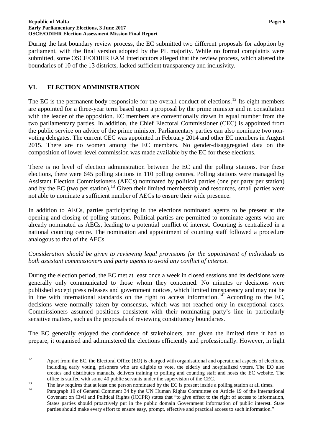During the last boundary review process, the EC submitted two different proposals for adoption by parliament, with the final version adopted by the PL majority. While no formal complaints were submitted, some OSCE/ODIHR EAM interlocutors alleged that the review process, which altered the boundaries of 10 of the 13 districts, lacked sufficient transparency and inclusivity.

#### <span id="page-7-0"></span>**VI. ELECTION ADMINISTRATION**

The EC is the permanent body responsible for the overall conduct of elections.<sup>[12](#page-7-1)</sup> Its eight members are appointed for a three-year term based upon a proposal by the prime minister and in consultation with the leader of the opposition. EC members are conventionally drawn in equal number from the two parliamentary parties. In addition, the Chief Electoral Commissioner (CEC) is appointed from the public service on advice of the prime minister. Parliamentary parties can also nominate two nonvoting delegates. The current CEC was appointed in February 2014 and other EC members in August 2015. There are no women among the EC members. No gender-disaggregated data on the composition of lower-level commission was made available by the EC for these elections.

There is no level of election administration between the EC and the polling stations. For these elections, there were 645 polling stations in 110 polling centres. Polling stations were managed by Assistant Election Commissioners (AECs) nominated by political parties (one per party per station) and by the EC (two per station).<sup>[13](#page-7-2)</sup> Given their limited membership and resources, small parties were not able to nominate a sufficient number of AECs to ensure their wide presence.

In addition to AECs, parties participating in the elections nominated agents to be present at the opening and closing of polling stations. Political parties are permitted to nominate agents who are already nominated as AECs, leading to a potential conflict of interest. Counting is centralized in a national counting centre. The nomination and appointment of counting staff followed a procedure analogous to that of the AECs.

#### *Consideration should be given to reviewing legal provisions for the appointment of individuals as both assistant commissioners and party agents to avoid any conflict of interest.*

During the election period, the EC met at least once a week in closed sessions and its decisions were generally only communicated to those whom they concerned. No minutes or decisions were published except press releases and government notices, which limited transparency and may not be in line with international standards on the right to access information.<sup>[14](#page-7-3)</sup> According to the EC, decisions were normally taken by consensus, which was not reached only in exceptional cases. Commissioners assumed positions consistent with their nominating party's line in particularly sensitive matters, such as the proposals of reviewing constituency boundaries.

The EC generally enjoyed the confidence of stakeholders, and given the limited time it had to prepare, it organised and administered the elections efficiently and professionally. However, in light

<span id="page-7-1"></span><sup>&</sup>lt;sup>12</sup> Apart from the EC, the Electoral Office (EO) is charged with organisational and operational aspects of elections, including early voting, prisoners who are eligible to vote, the elderly and hospitalized voters. The EO also creates and distributes manuals, delivers training to polling and counting staff and hosts the EC website. The

<span id="page-7-2"></span>office is staffed with some 40 public servants under the supervision of the CEC.<br>
<sup>13</sup> The law requires that at least one person nominated by the EC is present inside a polling station at all times.<br>
Paragraph 19 of Genera

<span id="page-7-3"></span>Covenant on Civil and Political Rights (ICCPR) states that "to give effect to the right of access to information, States parties should proactively put in the public domain Government information of public interest. State parties should make every effort to ensure easy, prompt, effective and practical access to such information."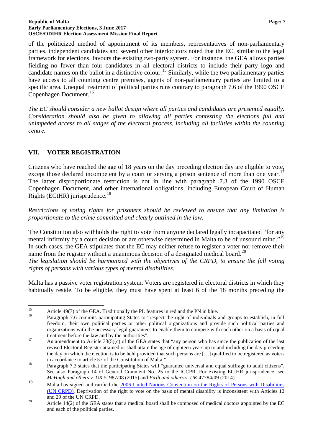#### **Republic of Malta** Page: 7 **Early Parliamentary Elections, 3 June 2017 OSCE/ODIHR Election Assessment Mission Final Report**

of the politicized method of appointment of its members, representatives of non-parliamentary parties, independent candidates and several other interlocutors noted that the EC, similar to the legal framework for elections, favours the existing two-party system. For instance, the GEA allows parties fielding no fewer than four candidates in all electoral districts to include their party logo and candidate names on the ballot in a distinctive colour.<sup>[15](#page-8-1)</sup> Similarly, while the two parliamentary parties have access to all counting centre premises, agents of non-parliamentary parties are limited to a specific area. Unequal treatment of political parties runs contrary to paragraph 7.6 of the 1990 OSCE Copenhagen Document.<sup>[16](#page-8-2)</sup>

*The EC should consider a new ballot design where all parties and candidates are presented equally. Consideration should also be given to allowing all parties contesting the elections full and unimpeded access to all stages of the electoral process, including all facilities within the counting centre.*

## <span id="page-8-0"></span>**VII. VOTER REGISTRATION**

Citizens who have reached the age of 18 years on the day preceding election day are eligible to vote, except those declared incompetent by a court or serving a prison sentence of more than one year.<sup>[17](#page-8-3)</sup> The latter disproportionate restriction is not in line with paragraph 7.3 of the 1990 OSCE Copenhagen Document, and other international obligations, including European Court of Human Rights (ECtHR) jurisprudence. $18$ 

*Restrictions of voting rights for prisoners should be reviewed to ensure that any limitation is proportionate to the crime committed and clearly outlined in the law.*

The Constitution also withholds the right to vote from anyone declared legally incapacitated "for any mental infirmity by a court decision or are otherwise determined in Malta to be of unsound mind."<sup>[19](#page-8-5)</sup> In such cases, the GEA stipulates that the EC may neither refuse to register a voter nor remove their name from the register without a unanimous decision of a designated medical board.<sup>[20](#page-8-6)</sup> *The legislation should be harmonized with the objectives of the CRPD, to ensure the full voting rights of persons with various types of mental disabilities.*

Malta has a passive voter registration system. Voters are registered in electoral districts in which they habitually reside. To be eligible, they must have spent at least 6 of the 18 months preceding the

<span id="page-8-2"></span><span id="page-8-1"></span><sup>&</sup>lt;sup>15</sup> Article 49(7) of the GEA. Traditionally the PL features in red and the PN in blue.<br><sup>16</sup> Paragraph 7.6 commits participating States to "respect the right of individuals and groups to establish, in full freedom, their own political parties or other political organizations and provide such political parties and organizations with the necessary legal guarantees to enable them to compete with each other on a basis of equal

<span id="page-8-3"></span>treatment before the law and by the authorities".<br>
An amendment to Article  $33(5)(c)$  of the GEA states that "any person who has since the publication of the last revised Electoral Register attained or shall attain the age of eighteen years up to and including the day preceding the day on which the election is to be held provided that such persons are […] qualified to be registered as voters

<span id="page-8-4"></span>in accordance to article 57 of the Constitution of Malta."<br>
Paragraph 7.3 states that the participating States will "guarantee universal and equal suffrage to adult citizens". See also Paragraph 14 of General Comment No. 25 to the ICCPR. For existing ECtHR jurisprudence, see *McHugh and others v. UK* 51987/08 (2015) and *Firth and others v. UK* 47784/09 (2014).

<span id="page-8-5"></span><sup>&</sup>lt;sup>19</sup> Malta has signed and ratified the [2006 United Nations Convention on the Rights of Persons with Disabilities](http://www.un.org/disabilities/convention/conventionfull.shtml) (UN CRPD). Deprivation of the right to vote on the basis of mental disability is inconsistent with Articles 12

<span id="page-8-6"></span>and 29 of the UN CRPD.<br><sup>20</sup> Article 14(2) of the GEA states that a medical board shall be composed of medical doctors appointed by the EC and each of the political parties.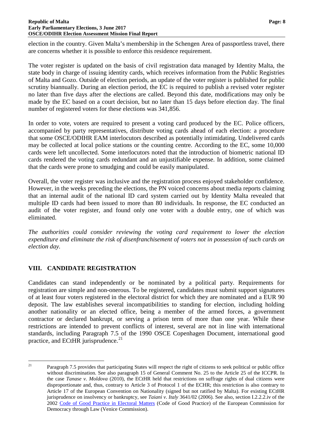#### **Republic of Malta** Page: 8 **Early Parliamentary Elections, 3 June 2017 OSCE/ODIHR Election Assessment Mission Final Report**

election in the country. Given Malta's membership in the Schengen Area of passportless travel, there are concerns whether it is possible to enforce this residence requirement.

The voter register is updated on the basis of civil registration data managed by Identity Malta, the state body in charge of issuing identity cards, which receives information from the Public Registries of Malta and Gozo. Outside of election periods, an update of the voter register is published for public scrutiny biannually. During an election period, the EC is required to publish a revised voter register no later than five days after the elections are called. Beyond this date, modifications may only be made by the EC based on a court decision, but no later than 15 days before election day. The final number of registered voters for these elections was 341,856.

In order to vote, voters are required to present a voting card produced by the EC. Police officers, accompanied by party representatives, distribute voting cards ahead of each election: a procedure that some OSCE/ODIHR EAM interlocutors described as potentially intimidating. Undelivered cards may be collected at local police stations or the counting centre. According to the EC, some 10,000 cards were left uncollected. Some interlocutors noted that the introduction of biometric national ID cards rendered the voting cards redundant and an unjustifiable expense. In addition, some claimed that the cards were prone to smudging and could be easily manipulated.

Overall, the voter register was inclusive and the registration process enjoyed stakeholder confidence. However, in the weeks preceding the elections, the PN voiced concerns about media reports claiming that an internal audit of the national ID card system carried out by Identity Malta revealed that multiple ID cards had been issued to more than 80 individuals. In response, the EC conducted an audit of the voter register, and found only one voter with a double entry, one of which was eliminated.

*The authorities could consider reviewing the voting card requirement to lower the election expenditure and eliminate the risk of disenfranchisement of voters not in possession of such cards on election day.*

### <span id="page-9-0"></span>**VIII. CANDIDATE REGISTRATION**

Candidates can stand independently or be nominated by a political party. Requirements for registration are simple and non-onerous. To be registered, candidates must submit support signatures of at least four voters registered in the electoral district for which they are nominated and a EUR 90 deposit. The law establishes several incompatibilities to standing for election, including holding another nationality or an elected office, being a member of the armed forces, a government contractor or declared bankrupt, or serving a prison term of more than one year. While these restrictions are intended to prevent conflicts of interest, several are not in line with international standards, including Paragraph 7.5 of the 1990 OSCE Copenhagen Document, international good practice, and ECtHR jurisprudence.<sup>[21](#page-9-1)</sup>

<span id="page-9-1"></span>

 $21$  Paragraph 7.5 provides that participating States will respect the right of citizens to seek political or public office without discrimination. See also paragraph 15 of General Comment No. 25 to the Article 25 of the ICCPR. In the case *Tanase v. Moldova* (2010), the ECtHR held that restrictions on suffrage rights of dual citizens were disproportionate and, thus, contrary to Article 3 of Protocol 1 of the ECHR; this restriction is also contrary to Article 17 of the European Convention on Nationality (signed but not ratified by Malta). For existing ECtHR jurisprudence on insolvency or bankruptcy, see *[Taiani v. Italy](http://www.eods.eu/elex/uploads/files/57c946c9ae7bb-VINCENZO%20TAIANI%20c.%20ITALIE.pdf)* 3641/02 (2006)*.* See also, section I.2.2.2.iv of the 2002 [Code of Good Practice in Electoral Matters](http://www.venice.coe.int/webforms/documents/default.aspx?pdffile=CDL-AD(2002)023rev-e) (Code of Good Practice) of the European Commission for Democracy through Law (Venice Commission).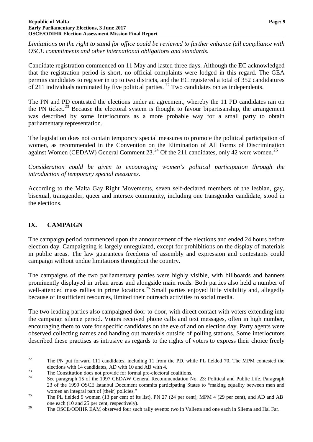*Limitations on the right to stand for office could be reviewed to further enhance full compliance with OSCE commitments and other international obligations and standards.*

Candidate registration commenced on 11 May and lasted three days. Although the EC acknowledged that the registration period is short, no official complaints were lodged in this regard. The GEA permits candidates to register in up to two districts, and the EC registered a total of 352 candidatures of 211 individuals nominated by five political parties.  $^{22}$  $^{22}$  $^{22}$  Two candidates ran as independents.

The PN and PD contested the elections under an agreement, whereby the 11 PD candidates ran on the PN ticket.<sup>[23](#page-10-2)</sup> Because the electoral system is thought to favour bipartisanship, the arrangement was described by some interlocutors as a more probable way for a small party to obtain parliamentary representation.

The legislation does not contain temporary special measures to promote the political participation of women, as recommended in the Convention on the Elimination of All Forms of Discrimination against Women (CEDAW) General Comment 23.<sup>[24](#page-10-3)</sup> Of the 211 candidates, only 42 were women.<sup>[25](#page-10-4)</sup>

*Consideration could be given to encouraging women's political participation through the introduction of temporary special measures.*

According to the Malta Gay Right Movements, seven self-declared members of the lesbian, gay, bisexual, transgender, queer and intersex community, including one transgender candidate, stood in the elections.

## <span id="page-10-0"></span>**IX. CAMPAIGN**

The campaign period commenced upon the announcement of the elections and ended 24 hours before election day. Campaigning is largely unregulated, except for prohibitions on the display of materials in public areas. The law guarantees freedoms of assembly and expression and contestants could campaign without undue limitations throughout the country.

The campaigns of the two parliamentary parties were highly visible, with billboards and banners prominently displayed in urban areas and alongside main roads. Both parties also held a number of well-attended mass rallies in prime locations.<sup>[26](#page-10-5)</sup> Small parties enjoyed little visibility and, allegedly because of insufficient resources, limited their outreach activities to social media.

The two leading parties also campaigned door-to-door, with direct contact with voters extending into the campaign silence period. Voters received phone calls and text messages, often in high number, encouraging them to vote for specific candidates on the eve of and on election day. Party agents were observed collecting names and handing out materials outside of polling stations. Some interlocutors described these practises as intrusive as regards to the rights of voters to express their choice freely

<span id="page-10-1"></span><sup>&</sup>lt;sup>22</sup> The PN put forward 111 candidates, including 11 from the PD, while PL fielded 70. The MPM contested the elections with 14 candidates, AD with 10 and AB with 4.<br>The Constitution does not provide for formal pre-electoral coalitions.<br>See paragraph 15 of the 1997 CEDAW General Recommendation No. 23: Political and Public Life. Pa

<span id="page-10-2"></span>

<span id="page-10-3"></span><sup>23</sup> of the 1999 OSCE Istanbul Document commits participating States to "making equality between men and women an integral part of [their] policies."<br><sup>25</sup> The PL fielded 9 women (13 per cent of its list), PN 27 (24 per cent), MPM 4 (29 per cent), and AD and AB

<span id="page-10-4"></span>one each (10 and 25 per cent, respectively).<br><sup>26</sup> The OSCE/ODIHR EAM observed four such rally events: two in Valletta and one each in Sliema and Hal Far.

<span id="page-10-5"></span>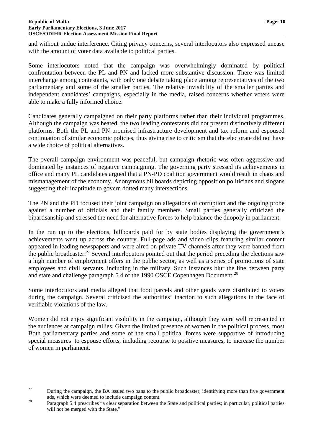and without undue interference. Citing privacy concerns, several interlocutors also expressed unease with the amount of voter data available to political parties.

Some interlocutors noted that the campaign was overwhelmingly dominated by political confrontation between the PL and PN and lacked more substantive discussion. There was limited interchange among contestants, with only one debate taking place among representatives of the two parliamentary and some of the smaller parties. The relative invisibility of the smaller parties and independent candidates' campaigns, especially in the media, raised concerns whether voters were able to make a fully informed choice.

Candidates generally campaigned on their party platforms rather than their individual programmes. Although the campaign was heated, the two leading contestants did not present distinctively different platforms. Both the PL and PN promised infrastructure development and tax reform and espoused continuation of similar economic policies, thus giving rise to criticism that the electorate did not have a wide choice of political alternatives.

The overall campaign environment was peaceful, but campaign rhetoric was often aggressive and dominated by instances of negative campaigning. The governing party stressed its achievements in office and many PL candidates argued that a PN-PD coalition government would result in chaos and mismanagement of the economy. Anonymous billboards depicting opposition politicians and slogans suggesting their inaptitude to govern dotted many intersections.

The PN and the PD focused their joint campaign on allegations of corruption and the ongoing probe against a number of officials and their family members. Small parties generally criticized the bipartisanship and stressed the need for alternative forces to help balance the duopoly in parliament.

In the run up to the elections, billboards paid for by state bodies displaying the government's achievements went up across the country. Full-page ads and video clips featuring similar content appeared in leading newspapers and were aired on private TV channels after they were banned from the public broadcaster.<sup>[27](#page-11-0)</sup> Several interlocutors pointed out that the period preceding the elections saw a high number of employment offers in the public sector, as well as a series of promotions of state employees and civil servants, including in the military. Such instances blur the line between party and state and challenge paragraph 5.4 of the 1990 OSCE Copenhagen Document.<sup>[28](#page-11-1)</sup>

Some interlocutors and media alleged that food parcels and other goods were distributed to voters during the campaign. Several criticised the authorities' inaction to such allegations in the face of verifiable violations of the law.

Women did not enjoy significant visibility in the campaign, although they were well represented in the audiences at campaign rallies. Given the limited presence of women in the political process, most Both parliamentary parties and some of the small political forces were supportive of introducing special measures to espouse efforts, including recourse to positive measures, to increase the number of women in parliament.

<span id="page-11-0"></span><sup>&</sup>lt;sup>27</sup> During the campaign, the BA issued two bans to the public broadcaster, identifying more than five government

<span id="page-11-1"></span>ads, which were deemed to include campaign content.<br>Paragraph 5.4 prescribes "a clear separation between the State and political parties; in particular, political parties will not be merged with the State."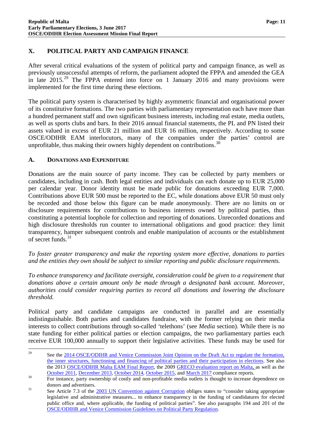#### <span id="page-12-0"></span>**X. POLITICAL PARTY AND CAMPAIGN FINANCE**

After several critical evaluations of the system of political party and campaign finance, as well as previously unsuccessful attempts of reform, the parliament adopted the FPPA and amended the GEA in late 2015.<sup>[29](#page-12-2)</sup> The FPPA entered into force on 1 January 2016 and many provisions were implemented for the first time during these elections.

The political party system is characterised by highly asymmetric financial and organisational power of its constitutive formations. The two parties with parliamentary representation each have more than a hundred permanent staff and own significant business interests, including real estate, media outlets, as well as sports clubs and bars. In their 2016 annual financial statements, the PL and PN listed their assets valued in excess of EUR 21 million and EUR 16 million, respectively. According to some OSCE/ODIHR EAM interlocutors, many of the companies under the parties' control are unprofitable, thus making their owners highly dependent on contributions. $30$ 

#### <span id="page-12-1"></span>**A. DONATIONS AND EXPENDITURE**

Donations are the main source of party income. They can be collected by party members or candidates, including in cash. Both legal entities and individuals can each donate up to EUR 25,000 per calendar year. Donor identity must be made public for donations exceeding EUR 7,000. Contributions above EUR 500 must be reported to the EC, while donations above EUR 50 must only be recorded and those below this figure can be made anonymously. There are no limits on or disclosure requirements for contributions to business interests owned by political parties, thus constituting a potential loophole for collection and reporting of donations. Unrecorded donations and high disclosure thresholds run counter to international obligations and good practice: they limit transparency, hamper subsequent controls and enable manipulation of accounts or the establishment of secret funds. [31](#page-12-4)

*To foster greater transparency and make the reporting system more effective, donations to parties and the entities they own should be subject to similar reporting and public disclosure requirements.*

*To enhance transparency and facilitate oversight, consideration could be given to a requirement that donations above a certain amount only be made through a designated bank account. Moreover, authorities could consider requiring parties to record all donations and lowering the disclosure threshold.*

Political party and candidate campaigns are conducted in parallel and are essentially indistinguishable. Both parties and candidates fundraise, with the former relying on their media interests to collect contributions through so-called 'telethons' (see *Media* section). While there is no state funding for either political parties or election campaigns, the two parliamentary parties each receive EUR 100,000 annually to support their legislative activities. These funds may be used for

<span id="page-12-2"></span><sup>&</sup>lt;sup>29</sup> See the 2014 [OSCE/ODIHR](http://www.osce.org/odihr/125635) and Venice Commission Joint Opinion on the Draft Act to regulate the formation, the inner structures, functioning and financing of political parties and their [participation](http://www.osce.org/odihr/125635) in elections. See also the 2013 [OSCE/ODIHR](http://www.osce.org/odihr/elections/102176?download=true) Malta EAM Final Report, the 2009 GRECO evaluation report on Malta, as well as the

[October](http://rm.coe.int/CoERMPublicCommonSearchServices/DisplayDCTMContent?documentId=09000016806c8abd) 2011, [December](http://rm.coe.int/CoERMPublicCommonSearchServices/DisplayDCTMContent?documentId=09000016806c8a89) 2013, October 2014, October 2015, and <u>[March](https://rm.coe.int/CoERMPublicCommonSearchServices/DisplayDCTMContent?documentId=090000168070190f) 2017</u> compliance reports.<br>For instance, party ownership of costly and non-profitable media outlets is thought to increase dependence on

<span id="page-12-4"></span><span id="page-12-3"></span>donors and advertisers.<br><sup>31</sup> See Article 7.3 of the [2003 UN Convention against Corruption](https://www.unodc.org/documents/brussels/UN_Convention_Against_Corruption.pdf) obliges states to "consider taking appropriate legislative and administrative measures... to enhance transparency in the funding of candidatures for elected public office and, where applicable, the funding of political parties". See also paragraphs 194 and 201 of the [OSCE/ODIHR and Venice Commission Guidelines on Political Party Regulation.](https://www.osce.org/odihr/77812?download=true)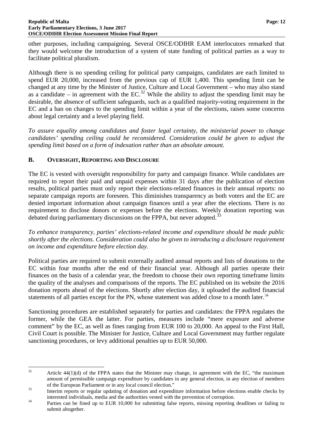other purposes, including campaigning. Several OSCE/ODIHR EAM interlocutors remarked that they would welcome the introduction of a system of state funding of political parties as a way to facilitate political pluralism.

Although there is no spending ceiling for political party campaigns, candidates are each limited to spend EUR 20,000, increased from the previous cap of EUR 1,400. This spending limit can be changed at any time by the Minister of Justice, Culture and Local Government – who may also stand as a candidate – in agreement with the  $EC^{32}$  $EC^{32}$  $EC^{32}$  While the ability to adjust the spending limit may be desirable, the absence of sufficient safeguards, such as a qualified majority-voting requirement in the EC and a ban on changes to the spending limit within a year of the elections, raises some concerns about legal certainty and a level playing field.

*To assure equality among candidates and foster legal certainty, the ministerial power to change candidates' spending ceiling could be reconsidered. Consideration could be given to adjust the spending limit based on a form of indexation rather than an absolute amount.*

#### <span id="page-13-0"></span>**B. OVERSIGHT, REPORTING AND DISCLOSURE**

The EC is vested with oversight responsibility for party and campaign finance. While candidates are required to report their paid and unpaid expenses within 31 days after the publication of election results, political parties must only report their elections-related finances in their annual reports: no separate campaign reports are foreseen. This diminishes transparency as both voters and the EC are denied important information about campaign finances until a year after the elections. There is no requirement to disclose donors or expenses before the elections. Weekly donation reporting was debated during parliamentary discussions on the FPPA, but never adopted.<sup>[33](#page-13-2)</sup>

*To enhance transparency, parties' elections-related income and expenditure should be made public shortly after the elections. Consideration could also be given to introducing a disclosure requirement on income and expenditure before election day.*

Political parties are required to submit externally audited annual reports and lists of donations to the EC within four months after the end of their financial year. Although all parties operate their finances on the basis of a calendar year, the freedom to choose their own reporting timeframe limits the quality of the analyses and comparisons of the reports. The EC published on its website the 2016 donation reports ahead of the elections. Shortly after election day, it uploaded the audited financial statements of all parties except for the PN, whose statement was added close to a month later.<sup>[34](#page-13-3)</sup>

Sanctioning procedures are established separately for parties and candidates: the FPPA regulates the former, while the GEA the latter. For parties, measures include "mere exposure and adverse comment" by the EC, as well as fines ranging from EUR 100 to 20,000. An appeal to the First Hall, Civil Court is possible. The Minister for Justice, Culture and Local Government may further regulate sanctioning procedures, or levy additional penalties up to EUR 50,000.

<span id="page-13-1"></span> $32$  Article 44(1)(d) of the FPPA states that the Minister may change, in agreement with the EC, "the maximum amount of permissible campaign expenditure by candidates in any general election, in any election of members of the European Parliament or in any local council election."<br>Interim reports or regular updating of donation and expenditure information before elections enable checks by

<span id="page-13-2"></span>

<span id="page-13-3"></span>interested individuals, media and the authorities vested with the prevention of corruption.<br><sup>34</sup> Parties can be fined up to EUR 10,000 for submitting false reports, missing reporting deadlines or failing to submit altogether.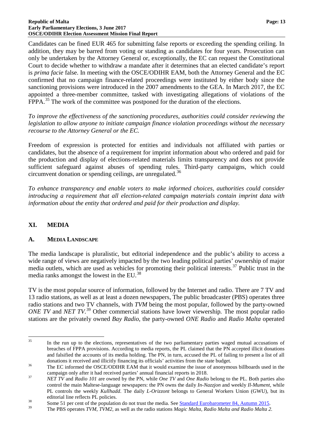Candidates can be fined EUR 465 for submitting false reports or exceeding the spending ceiling. In addition, they may be barred from voting or standing as candidates for four years. Prosecution can only be undertaken by the Attorney General or, exceptionally, the EC can request the Constitutional Court to decide whether to withdraw a mandate after it determines that an elected candidate's report is *prima facie* false. In meeting with the OSCE/ODIHR EAM, both the Attorney General and the EC confirmed that no campaign finance-related proceedings were instituted by either body since the sanctioning provisions were introduced in the 2007 amendments to the GEA. In March 2017, the EC appointed a three-member committee, tasked with investigating allegations of violations of the FPPA.<sup>[35](#page-14-2)</sup> The work of the committee was postponed for the duration of the elections.

*To improve the effectiveness of the sanctioning procedures, authorities could consider reviewing the legislation to allow anyone to initiate campaign finance violation proceedings without the necessary recourse to the Attorney General or the EC.*

Freedom of expression is protected for entities and individuals not affiliated with parties or candidates, but the absence of a requirement for imprint information about who ordered and paid for the production and display of elections-related materials limits transparency and does not provide sufficient safeguard against abuses of spending rules. Third-party campaigns, which could circumvent donation or spending ceilings, are unregulated.[36](#page-14-3)

*To enhance transparency and enable voters to make informed choices, authorities could consider introducing a requirement that all election-related campaign materials contain imprint data with information about the entity that ordered and paid for their production and display.*

### <span id="page-14-0"></span>**XI. MEDIA**

#### <span id="page-14-1"></span>**A. MEDIA LANDSCAPE**

The media landscape is pluralistic, but editorial independence and the public's ability to access a wide range of views are negatively impacted by the two leading political parties' ownership of major media outlets, which are used as vehicles for promoting their political interests.[37](#page-14-4) Public trust in the media ranks amongst the lowest in the EU.<sup>[38](#page-14-5)</sup>

TV is the most popular source of information, followed by the Internet and radio. There are 7 TV and 13 radio stations, as well as at least a dozen newspapers, The public broadcaster (PBS) operates three radio stations and two TV channels, with *TVM* being the most popular, followed by the party-owned *ONE TV* and *NET TV.*[39](#page-14-6) Other commercial stations have lower viewership*.* The most popular radio stations are the privately owned *Bay Radio*, the party-owned *ONE Radio* and *Radio Malta* operated

<span id="page-14-2"></span><sup>&</sup>lt;sup>35</sup> In the run up to the elections, representatives of the two parliamentary parties waged mutual accusations of breaches of FPPA provisions. According to media reports, the PL claimed that the PN accepted illicit donations and falsified the accounts of its media holding. The PN, in turn, accused the PL of failing to present a list of all donations it received and illicitly financing its officials' activities from the state budget.<br><sup>36</sup> The EC informed the OSCE/ODIHR EAM that it would examine the issue of anonymous billboards used in the

<span id="page-14-3"></span>campaign only after it had received parties' annual financial reports in 2018. <sup>37</sup> *NET TV* and *Radio 101* are owned by the PN, while *One TV* and *One Radio* belong to the PL. Both parties also

<span id="page-14-4"></span>control the main Maltese-language newspapers: the PN owns the daily *In-Nazzjon* and weekly *Il-Mument*, while PL controls the weekly *Kullhadd*. The daily *L-Orizzont* belongs to General Workers Union (GWU), but its

<span id="page-14-5"></span>editorial line reflects PL policies.<br>Some 51 per cent of the population do not trust the media. See [Standard Eurobarometer 84, Autumn 2015.](https://ec.europa.eu/COMMFrontOffice/publicopinion/index.cfm/ResultDoc/download/DocumentKy/70297)<br>The PBS operates TVM, TVM2, as well as the radio stations *Magic Malta, Radio Malt* 

<span id="page-14-6"></span>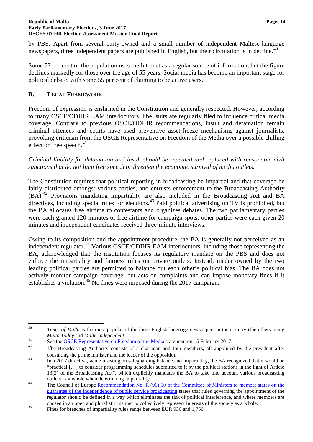#### **Republic of Malta** Page: 14 **Early Parliamentary Elections, 3 June 2017 OSCE/ODIHR Election Assessment Mission Final Report**

by PBS. Apart from several party-owned and a small number of independent Maltese-language newspapers, three independent papers are published in English, but their circulation is in decline.<sup>[40](#page-15-1)</sup>

Some 77 per cent of the population uses the Internet as a regular source of information, but the figure declines markedly for those over the age of 55 years. Social media has become an important stage for political debate, with some 55 per cent of claiming to be active users.

#### <span id="page-15-0"></span>**B. LEGAL FRAMEWORK**

Freedom of expression is enshrined in the Constitution and generally respected. However, according to many OSCE/ODIHR EAM interlocutors, libel suits are regularly filed to influence critical media coverage. Contrary to previous OSCE/ODIHR recommendations, insult and defamation remain criminal offences and courts have used preventive asset-freeze mechanisms against journalists, provoking criticism from the OSCE Representative on Freedom of the Media over a possible chilling effect on free speech. $41$ 

#### *Criminal liability for defamation and insult should be repealed and replaced with reasonable civil sanctions that do not limit free speech or threaten the economic survival of media outlets.*

The Constitution requires that political reporting in broadcasting be impartial and that coverage be fairly distributed amongst various parties, and entrusts enforcement to the Broadcasting Authority  $(BA)$ .<sup>[42](#page-15-3)</sup> Provisions mandating impartiality are also included in the Broadcasting Act and BA directives, including special rules for elections.<sup>[43](#page-15-4)</sup> Paid political advertising on TV is prohibited, but the BA allocates free airtime to contestants and organizes debates. The two parliamentary parties were each granted 120 minutes of free airtime for campaign spots; other parties were each given 20 minutes and independent candidates received three-minute interviews.

Owing to its composition and the appointment procedure, the BA is generally not perceived as an independent regulator.[44](#page-15-5) Various OSCE/ODIHR EAM interlocutors, including those representing the BA, acknowledged that the institution focuses its regulatory mandate on the PBS and does not enforce the impartiality and fairness rules on private outlets. Instead, media owned by the two leading political parties are permitted to balance out each other's political bias. The BA does not actively monitor campaign coverage, but acts on complaints and can impose monetary fines if it establishes a violation.<sup>[45](#page-15-6)</sup> No fines were imposed during the 2017 campaign.

<span id="page-15-1"></span><sup>&</sup>lt;sup>40</sup> *Times of Malta* is the most popular of the three English language newspapers in the country (the others being

<span id="page-15-2"></span>*Malta Today* and *Malta Independent*.<br>
<sup>41</sup> See the <u>OSCE Representative on Freedom of the Media</u> statement on 15 February 2017.<br>
The Dependentian Authority populate of a chairman and four mambers, all appoints

<span id="page-15-3"></span>The Broadcasting Authority consists of a chairman and four members, all appointed by the president after

<span id="page-15-4"></span>consulting the prime minister and the leader of the opposition.<br><sup>43</sup> In a 2017 directive, while insisting on safeguarding balance and impartiality, the BA recognized that it would be "practical […] to consider programming schedules submitted to it by the political stations in the light of Article 13(2) of the Broadcasting Act", which explicitly mandates the BA to take into account various broadcasting

<span id="page-15-5"></span>outlets as a whole when determining impartiality.<br><sup>44</sup> The Council of Europe <u>Recommendation No. R (96)</u> 10 of the Committee of Ministers to member states on the [guarantee of the independence of public service broadcasting](https://rm.coe.int/CoERMPublicCommonSearchServices/DisplayDCTMContent?documentId=090000168050c770) states that rules governing the appointment of the regulator should be defined in a way which eliminates the risk of political interference, and where members are

<span id="page-15-6"></span>chosen in an open and pluralistic manner to collectively represent interests of the society as a whole.<br><sup>45</sup> Fines for breaches of impartiality rules range between EUR 930 and 1,750.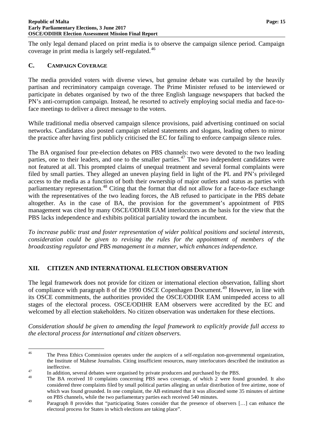The only legal demand placed on print media is to observe the campaign silence period. Campaign coverage in print media is largely self-regulated.<sup>[46](#page-16-2)</sup>

#### <span id="page-16-0"></span>**C. CAMPAIGN COVERAGE**

The media provided voters with diverse views, but genuine debate was curtailed by the heavily partisan and recriminatory campaign coverage. The Prime Minister refused to be interviewed or participate in debates organised by two of the three English language newspapers that backed the PN's anti-corruption campaign. Instead, he resorted to actively employing social media and face-toface meetings to deliver a direct message to the voters.

While traditional media observed campaign silence provisions, paid advertising continued on social networks. Candidates also posted campaign related statements and slogans, leading others to mirror the practice after having first publicly criticised the EC for failing to enforce campaign silence rules.

The BA organised four pre-election debates on PBS channels: two were devoted to the two leading parties, one to their leaders, and one to the smaller parties.<sup>[47](#page-16-3)</sup> The two independent candidates were not featured at all. This prompted claims of unequal treatment and several formal complaints were filed by small parties. They alleged an uneven playing field in light of the PL and PN's privileged access to the media as a function of both their ownership of major outlets and status as parties with parliamentary representation.<sup>[48](#page-16-4)</sup> Citing that the format that did not allow for a face-to-face exchange with the representatives of the two leading forces, the AB refused to participate in the PBS debate altogether. As in the case of BA, the provision for the government's appointment of PBS management was cited by many OSCE/ODIHR EAM interlocutors as the basis for the view that the PBS lacks independence and exhibits political partiality toward the incumbent.

*To increase public trust and foster representation of wider political positions and societal interests, consideration could be given to revising the rules for the appointment of members of the broadcasting regulator and PBS management in a manner, which enhances independence.*

### <span id="page-16-1"></span>**XII. CITIZEN AND INTERNATIONAL ELECTION OBSERVATION**

The legal framework does not provide for citizen or international election observation, falling short of compliance with paragraph 8 of the 1990 OSCE Copenhagen Document.<sup>[49](#page-16-5)</sup> However, in line with its OSCE commitments, the authorities provided the OSCE/ODIHR EAM unimpeded access to all stages of the electoral process. OSCE/ODIHR EAM observers were accredited by the EC and welcomed by all election stakeholders. No citizen observation was undertaken for these elections.

*Consideration should be given to amending the legal framework to explicitly provide full access to the electoral process for international and citizen observers.*

<span id="page-16-2"></span><sup>&</sup>lt;sup>46</sup> The Press Ethics Commission operates under the auspices of a self-regulation non-governmental organization, the Institute of Maltese Journalists. Citing insufficient resources, many interlocutors described the institution as ineffective.<br>
47 In addition, several debates were organised by private producers and purchased by the PBS.<br>
48 The BA received 10 complaints concerning PBS news coverage, of which 2 were found grounded. It also

<span id="page-16-4"></span><span id="page-16-3"></span>

considered three complaints filed by small political parties alleging an unfair distribution of free airtime, none of which was found grounded. In one complaint, the AB estimated that it was allocated some 35 minutes of airtime on PBS channels, while the two parliamentary parties each received 540 minutes.

<span id="page-16-5"></span><sup>&</sup>lt;sup>49</sup> Paragraph 8 provides that "participating States consider that the presence of observers [...] can enhance the electoral process for States in which elections are taking place".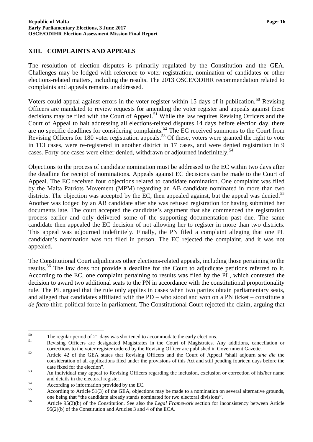#### <span id="page-17-0"></span>**XIII. COMPLAINTS AND APPEALS**

The resolution of election disputes is primarily regulated by the Constitution and the GEA. Challenges may be lodged with reference to voter registration, nomination of candidates or other elections-related matters, including the results. The 2013 OSCE/ODIHR recommendation related to complaints and appeals remains unaddressed.

Voters could appeal against errors in the voter register within 15-days of it publication.<sup>[50](#page-17-1)</sup> Revising Officers are mandated to review requests for amending the voter register and appeals against these decisions may be filed with the Court of Appeal.<sup>[51](#page-17-2)</sup> While the law requires Revising Officers and the Court of Appeal to halt addressing all elections-related disputes 14 days before election day, there are no specific deadlines for considering complaints.<sup>[52](#page-17-3)</sup> The EC received summons to the Court from Revising Officers for 180 voter registration appeals.<sup>[53](#page-17-4)</sup> Of these, voters were granted the right to vote in 113 cases, were re-registered in another district in 17 cases, and were denied registration in 9 cases. Forty-one cases were either denied, withdrawn or adjourned indefinitely.<sup>[54](#page-17-5)</sup>

Objections to the process of candidate nomination must be addressed to the EC within two days after the deadline for receipt of nominations. Appeals against EC decisions can be made to the Court of Appeal. The EC received four objections related to candidate nomination. One complaint was filed by the Malta Patriots Movement (MPM) regarding an AB candidate nominated in more than two districts. The objection was accepted by the EC, then appealed against, but the appeal was denied.<sup>[55](#page-17-6)</sup> Another was lodged by an AB candidate after she was refused registration for having submitted her documents late. The court accepted the candidate's argument that she commenced the registration process earlier and only delivered some of the supporting documentation past due. The same candidate then appealed the EC decision of not allowing her to register in more than two districts. This appeal was adjourned indefinitely. Finally, the PN filed a complaint alleging that one PL candidate's nomination was not filed in person. The EC rejected the complaint, and it was not appealed.

The Constitutional Court adjudicates other elections-related appeals, including those pertaining to the results.[56](#page-17-7) The law does not provide a deadline for the Court to adjudicate petitions referred to it. According to the EC, one complaint pertaining to results was filed by the PL, which contested the decision to award two additional seats to the PN in accordance with the constitutional proportionality rule. The PL argued that the rule only applies in cases when two parties obtain parliamentary seats, and alleged that candidates affiliated with the PD – who stood and won on a PN ticket – constitute a *de facto* third political force in parliament. The Constitutional Court rejected the claim, arguing that

<span id="page-17-2"></span><span id="page-17-1"></span> $50$  The regular period of 21 days was shortened to accommodate the early elections.<br>  $51$  Revising Officers are designated Magistrates in the Court of Magistrates. Any additions, cancellation or corrections to the voter register ordered by the Revising Officer are published in Government Gazette. <sup>52</sup> Article 42 of the GEA states that Revising Officers and the Court of Appeal "shall adjourn *sine die* the

<span id="page-17-3"></span>consideration of all applications filed under the provisions of this Act and still pending fourteen days before the date fixed for the election".<br>
<sup>53</sup> An individual may appeal to Revising Officers regarding the inclusion, exclusion or correction of his/her name

<span id="page-17-5"></span><span id="page-17-4"></span>and details in the electoral register.<br>
54 According to information provided by the EC.<br>
55 According to Article 51(3) of the GEA, objections may be made to a nomination on several alternative grounds,

<span id="page-17-7"></span><span id="page-17-6"></span>one being that "the candidate already stands nominated for two electoral divisions".<br>Article 95(2)(b) of the Constitution. See also the *Legal Framework* section for inconsistency between Article 95(2)(b) of the Constitution and Articles 3 and 4 of the ECA.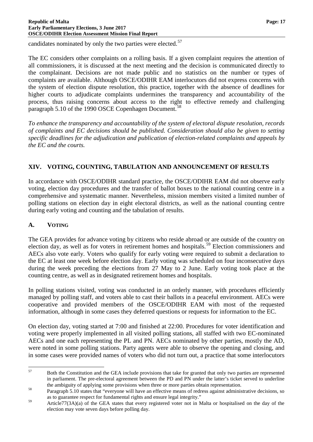candidates nominated by only the two parties were elected.<sup>[57](#page-18-2)</sup>

The EC considers other complaints on a rolling basis. If a given complaint requires the attention of all commissioners, it is discussed at the next meeting and the decision is communicated directly to the complainant. Decisions are not made public and no statistics on the number or types of complaints are available. Although OSCE/ODIHR EAM interlocutors did not express concerns with the system of election dispute resolution, this practice, together with the absence of deadlines for higher courts to adjudicate complaints undermines the transparency and accountability of the process, thus raising concerns about access to the right to effective remedy and challenging paragraph 5.10 of the 1990 OSCE Copenhagen Document.<sup>[58](#page-18-3)</sup>

*To enhance the transparency and accountability of the system of electoral dispute resolution, records of complaints and EC decisions should be published. Consideration should also be given to setting specific deadlines for the adjudication and publication of election-related complaints and appeals by the EC and the courts.*

#### <span id="page-18-0"></span>**XIV. VOTING, COUNTING, TABULATION AND ANNOUNCEMENT OF RESULTS**

In accordance with OSCE/ODIHR standard practice, the OSCE/ODIHR EAM did not observe early voting, election day procedures and the transfer of ballot boxes to the national counting centre in a comprehensive and systematic manner. Nevertheless, mission members visited a limited number of polling stations on election day in eight electoral districts, as well as the national counting centre during early voting and counting and the tabulation of results.

#### <span id="page-18-1"></span>**A. VOTING**

The GEA provides for advance voting by citizens who reside abroad or are outside of the country on election day, as well as for voters in retirement homes and hospitals.<sup>[59](#page-18-4)</sup> Election commissioners and AECs also vote early. Voters who qualify for early voting were required to submit a declaration to the EC at least one week before election day. Early voting was scheduled on four inconsecutive days during the week preceding the elections from 27 May to 2 June. Early voting took place at the counting centre, as well as in designated retirement homes and hospitals.

In polling stations visited, voting was conducted in an orderly manner, with procedures efficiently managed by polling staff, and voters able to cast their ballots in a peaceful environment. AECs were cooperative and provided members of the OSCE/ODIHR EAM with most of the requested information, although in some cases they deferred questions or requests for information to the EC.

On election day, voting started at 7:00 and finished at 22:00. Procedures for voter identification and voting were properly implemented in all visited polling stations, all staffed with two EC-nominated AECs and one each representing the PL and PN. AECs nominated by other parties, mostly the AD, were noted in some polling stations. Party agents were able to observe the opening and closing, and in some cases were provided names of voters who did not turn out, a practice that some interlocutors

<span id="page-18-2"></span><sup>&</sup>lt;sup>57</sup> Both the Constitution and the GEA include provisions that take for granted that only two parties are represented in parliament. The pre-electoral agreement between the PD and PN under the latter's ticket served to underline

<span id="page-18-3"></span>the ambiguity of applying some provisions when three or more parties obtain representation.<br><sup>58</sup> Paragraph 5.10 states that "everyone will have an effective means of redress against administrative decisions, so as to guarantee respect for fundamental rights and ensure legal integrity."

<span id="page-18-4"></span><sup>&</sup>lt;sup>59</sup> Article77(3A)(a) of the GEA states that every registered voter not in Malta or hospitalised on the day of the election may vote seven days before polling day.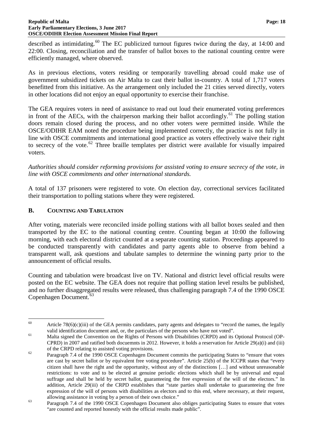described as intimidating.<sup>[60](#page-19-1)</sup> The EC publicized turnout figures twice during the day, at 14:00 and 22:00. Closing, reconciliation and the transfer of ballot boxes to the national counting centre were efficiently managed, where observed.

As in previous elections, voters residing or temporarily travelling abroad could make use of government subsidized tickets on Air Malta to cast their ballot in-country. A total of 1,717 voters benefitted from this initiative. As the arrangement only included the 21 cities served directly, voters in other locations did not enjoy an equal opportunity to exercise their franchise.

The GEA requires voters in need of assistance to read out loud their enumerated voting preferences in front of the AECs, with the chairperson marking their ballot accordingly.<sup>[61](#page-19-2)</sup> The polling station doors remain closed during the process, and no other voters were permitted inside. While the OSCE/ODIHR EAM noted the procedure being implemented correctly, the practice is not fully in line with OSCE commitments and international good practice as voters effectively waive their right to secrecy of the vote.<sup>[62](#page-19-3)</sup> Three braille templates per district were available for visually impaired voters.

*Authorities should consider reforming provisions for assisted voting to ensure secrecy of the vote, in line with OSCE commitments and other international standards.*

A total of 137 prisoners were registered to vote. On election day, correctional services facilitated their transportation to polling stations where they were registered.

#### <span id="page-19-0"></span>**B. COUNTING AND TABULATION**

After voting, materials were reconciled inside polling stations with all ballot boxes sealed and then transported by the EC to the national counting centre. Counting began at 10:00 the following morning, with each electoral district counted at a separate counting station. Proceedings appeared to be conducted transparently with candidates and party agents able to observe from behind a transparent wall, ask questions and tabulate samples to determine the winning party prior to the announcement of official results.

Counting and tabulation were broadcast live on TV. National and district level official results were posted on the EC website. The GEA does not require that polling station level results be published, and no further disaggregated results were released, thus challenging paragraph 7.4 of the 1990 OSCE Copenhagen Document.<sup>[63](#page-19-4)</sup>

<span id="page-19-1"></span> $60$  Article 78(6)(c)(iii) of the GEA permits candidates, party agents and delegates to "record the names, the legally valid identification document and, or, the particulars of the persons who have not voted".<br>Malta signed the Convention on the Rights of Persons with Disabilities (CRPD) and its Optional Protocol (OP-

<span id="page-19-2"></span>CPRD) in 2007 and ratified both docuemnts in 2012. However, it holds a reservation for Article 29(a)(i) and (iii)

<span id="page-19-3"></span>of the CRPD relating to assisted voting provisions.<br><sup>62</sup> Paragraph 7.4 of the 1990 OSCE Copenhagen Document commits the participating States to "ensure that votes are cast by secret ballot or by equivalent free voting procedure". Article 25(b) of the ICCPR states that "every citizen shall have the right and the opportunity, without any of the distinctions […] and without unreasonable restrictions: to vote and to be elected at genuine periodic elections which shall be by universal and equal suffrage and shall be held by secret ballot, guaranteeing the free expression of the will of the electors." In addition, Article 29(iii) of the CRPD establishes that "state parties shall undertake to guaranteeing the free expression of the will of persons with disabilities as electors and to this end, where necessary, at their request, allowing assistance in voting by a person of their own choice."

<span id="page-19-4"></span> $a<sup>63</sup>$  Paragraph 7.4 of the 1990 OSCE Copenhagen Document also obliges participating States to ensure that votes "are counted and reported honestly with the official results made public".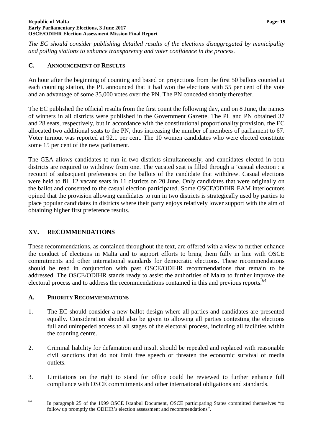*The EC should consider publishing detailed results of the elections disaggregated by municipality and polling stations to enhance transparency and voter confidence in the process.*

#### <span id="page-20-0"></span>**C. ANNOUNCEMENT OF RESULTS**

An hour after the beginning of counting and based on projections from the first 50 ballots counted at each counting station, the PL announced that it had won the elections with 55 per cent of the vote and an advantage of some 35,000 votes over the PN. The PN conceded shortly thereafter.

The EC published the official results from the first count the following day, and on 8 June, the names of winners in all districts were published in the Government Gazette. The PL and PN obtained 37 and 28 seats, respectively, but in accordance with the constitutional proportionality provision, the EC allocated two additional seats to the PN, thus increasing the number of members of parliament to 67. Voter turnout was reported at 92.1 per cent. The 10 women candidates who were elected constitute some 15 per cent of the new parliament.

The GEA allows candidates to run in two districts simultaneously, and candidates elected in both districts are required to withdraw from one. The vacated seat is filled through a 'casual election': a recount of subsequent preferences on the ballots of the candidate that withdrew. Casual elections were held to fill 12 vacant seats in 11 districts on 20 June. Only candidates that were originally on the ballot and consented to the casual election participated. Some OSCE/ODIHR EAM interlocutors opined that the provision allowing candidates to run in two districts is strategically used by parties to place popular candidates in districts where their party enjoys relatively lower support with the aim of obtaining higher first preference results.

### <span id="page-20-1"></span>**XV. RECOMMENDATIONS**

These recommendations, as contained throughout the text, are offered with a view to further enhance the conduct of elections in Malta and to support efforts to bring them fully in line with OSCE commitments and other international standards for democratic elections. These recommendations should be read in conjunction with past OSCE/ODIHR recommendations that remain to be addressed. The OSCE/ODIHR stands ready to assist the authorities of Malta to further improve the electoral process and to address the recommendations contained in this and previous reports.<sup>[64](#page-20-3)</sup>

#### <span id="page-20-2"></span>**A. PRIORITY RECOMMENDATIONS**

- 1. The EC should consider a new ballot design where all parties and candidates are presented equally. Consideration should also be given to allowing all parties contesting the elections full and unimpeded access to all stages of the electoral process, including all facilities within the counting centre.
- 2. Criminal liability for defamation and insult should be repealed and replaced with reasonable civil sanctions that do not limit free speech or threaten the economic survival of media outlets.
- 3. Limitations on the right to stand for office could be reviewed to further enhance full compliance with OSCE commitments and other international obligations and standards.

<span id="page-20-3"></span><sup>&</sup>lt;sup>64</sup> In paragraph 25 of the 1999 OSCE Istanbul Document, OSCE participating States committed themselves "to follow up promptly the ODIHR's election assessment and recommendations".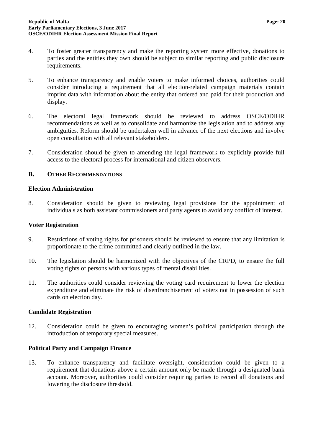- 4. To foster greater transparency and make the reporting system more effective, donations to parties and the entities they own should be subject to similar reporting and public disclosure requirements.
- 5. To enhance transparency and enable voters to make informed choices, authorities could consider introducing a requirement that all election-related campaign materials contain imprint data with information about the entity that ordered and paid for their production and display.
- 6. The electoral legal framework should be reviewed to address OSCE/ODIHR recommendations as well as to consolidate and harmonize the legislation and to address any ambiguities. Reform should be undertaken well in advance of the next elections and involve open consultation with all relevant stakeholders.
- 7. Consideration should be given to amending the legal framework to explicitly provide full access to the electoral process for international and citizen observers.

#### <span id="page-21-0"></span>**B. OTHER RECOMMENDATIONS**

#### **Election Administration**

8. Consideration should be given to reviewing legal provisions for the appointment of individuals as both assistant commissioners and party agents to avoid any conflict of interest.

#### **Voter Registration**

- 9. Restrictions of voting rights for prisoners should be reviewed to ensure that any limitation is proportionate to the crime committed and clearly outlined in the law.
- 10. The legislation should be harmonized with the objectives of the CRPD, to ensure the full voting rights of persons with various types of mental disabilities.
- 11. The authorities could consider reviewing the voting card requirement to lower the election expenditure and eliminate the risk of disenfranchisement of voters not in possession of such cards on election day.

#### **Candidate Registration**

12. Consideration could be given to encouraging women's political participation through the introduction of temporary special measures.

#### **Political Party and Campaign Finance**

13. To enhance transparency and facilitate oversight, consideration could be given to a requirement that donations above a certain amount only be made through a designated bank account. Moreover, authorities could consider requiring parties to record all donations and lowering the disclosure threshold.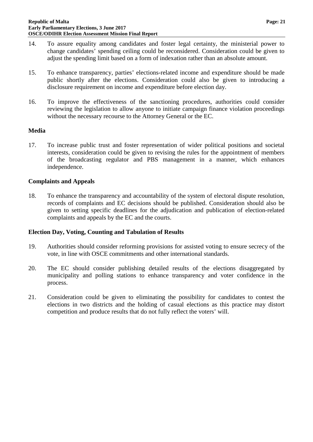- 14. To assure equality among candidates and foster legal certainty, the ministerial power to change candidates' spending ceiling could be reconsidered. Consideration could be given to adjust the spending limit based on a form of indexation rather than an absolute amount.
- 15. To enhance transparency, parties' elections-related income and expenditure should be made public shortly after the elections. Consideration could also be given to introducing a disclosure requirement on income and expenditure before election day.
- 16. To improve the effectiveness of the sanctioning procedures, authorities could consider reviewing the legislation to allow anyone to initiate campaign finance violation proceedings without the necessary recourse to the Attorney General or the EC.

#### **Media**

17. To increase public trust and foster representation of wider political positions and societal interests, consideration could be given to revising the rules for the appointment of members of the broadcasting regulator and PBS management in a manner, which enhances independence.

#### **Complaints and Appeals**

18. To enhance the transparency and accountability of the system of electoral dispute resolution, records of complaints and EC decisions should be published. Consideration should also be given to setting specific deadlines for the adjudication and publication of election-related complaints and appeals by the EC and the courts.

#### **Election Day, Voting, Counting and Tabulation of Results**

- 19. Authorities should consider reforming provisions for assisted voting to ensure secrecy of the vote, in line with OSCE commitments and other international standards.
- 20. The EC should consider publishing detailed results of the elections disaggregated by municipality and polling stations to enhance transparency and voter confidence in the process.
- 21. Consideration could be given to eliminating the possibility for candidates to contest the elections in two districts and the holding of casual elections as this practice may distort competition and produce results that do not fully reflect the voters' will.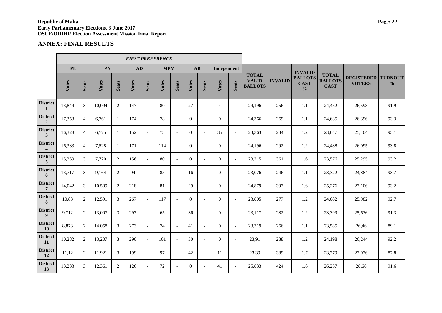#### **ANNEX: FINAL RESULTS**

<span id="page-23-0"></span>

|                                            | <b>FIRST PREFERENCE</b> |                |        |                |       |                          |            |                          |                        |                          |                |                          |                                                |                |                                                |                                               |                                    |                                 |
|--------------------------------------------|-------------------------|----------------|--------|----------------|-------|--------------------------|------------|--------------------------|------------------------|--------------------------|----------------|--------------------------|------------------------------------------------|----------------|------------------------------------------------|-----------------------------------------------|------------------------------------|---------------------------------|
|                                            | <b>PL</b>               |                | PN     |                | AD    |                          | <b>MPM</b> |                          | $\mathbf{A}\mathbf{B}$ |                          | Independent    |                          |                                                |                | <b>INVALID</b>                                 |                                               |                                    |                                 |
|                                            | Votes                   | Seats          | Votes  | Seats          | Votes | Seats                    | Votes      | Seats                    | Votes                  | Seats                    | Votes          | <b>Seats</b>             | <b>TOTAL</b><br><b>VALID</b><br><b>BALLOTS</b> | <b>INVALID</b> | <b>BALLOTS</b><br><b>CAST</b><br>$\frac{0}{0}$ | <b>TOTAL</b><br><b>BALLOTS</b><br><b>CAST</b> | <b>REGISTERED</b><br><b>VOTERS</b> | <b>TURNOUT</b><br>$\frac{0}{0}$ |
| <b>District</b><br>$\mathbf{1}$            | 13,844                  | 3              | 10,094 | $\overline{c}$ | 147   | $\blacksquare$           | 80         | $\mathcal{L}$            | 27                     |                          | $\overline{4}$ | $\overline{\phantom{a}}$ | 24,196                                         | 256            | 1.1                                            | 24,452                                        | 26,598                             | 91.9                            |
| <b>District</b><br>$\overline{2}$          | 17,353                  | $\overline{4}$ | 6,761  | $\mathbf{1}$   | 174   | $\mathbf{r}$             | 78         | $\mathbf{r}$             | $\Omega$               | $\overline{a}$           | $\Omega$       | $\overline{a}$           | 24,366                                         | 269            | 1.1                                            | 24,635                                        | 26,396                             | 93.3                            |
| <b>District</b><br>3                       | 16,328                  | $\overline{4}$ | 6,775  | $\mathbf{1}$   | 152   | $\overline{a}$           | 73         | $\overline{a}$           | $\Omega$               |                          | 35             | $\sim$                   | 23,363                                         | 284            | 1.2                                            | 23,647                                        | 25,404                             | 93.1                            |
| <b>District</b><br>$\overline{\mathbf{4}}$ | 16,383                  | $\overline{4}$ | 7,528  | 1              | 171   | $\mathcal{L}$            | 114        | $\mathcal{L}$            | $\Omega$               | $\overline{a}$           | $\Omega$       | $\sim$                   | 24,196                                         | 292            | 1.2                                            | 24,488                                        | 26,095                             | 93.8                            |
| <b>District</b><br>$\overline{\mathbf{5}}$ | 15,259                  | $\mathfrak{Z}$ | 7,720  | $\overline{2}$ | 156   | $\sim$                   | 80         | $\overline{\phantom{a}}$ | $\overline{0}$         |                          | $\overline{0}$ | $\sim$                   | 23,215                                         | 361            | 1.6                                            | 23,576                                        | 25,295                             | 93.2                            |
| <b>District</b><br>6                       | 13,717                  | $\mathfrak{Z}$ | 9,164  | $\overline{2}$ | 94    | $\overline{\phantom{0}}$ | 85         | $\overline{\phantom{a}}$ | 16                     |                          | $\Omega$       | $\sim$                   | 23,076                                         | 246            | 1.1                                            | 23,322                                        | 24,884                             | 93.7                            |
| <b>District</b><br>$\overline{7}$          | 14,042                  | $\mathfrak{Z}$ | 10,509 | $\overline{2}$ | 218   | $\overline{a}$           | 81         | $\mathbf{r}$             | 29                     |                          | $\Omega$       | $\overline{a}$           | 24,879                                         | 397            | 1.6                                            | 25,276                                        | 27,106                             | 93.2                            |
| <b>District</b><br>8                       | 10,83                   | $\overline{2}$ | 12,591 | 3              | 267   | $\mathcal{L}$            | 117        | $\mathcal{L}$            | $\Omega$               | $\overline{\phantom{a}}$ | $\overline{0}$ | $\sim$                   | 23,805                                         | 277            | 1.2                                            | 24,082                                        | 25,982                             | 92.7                            |
| <b>District</b><br>$\boldsymbol{9}$        | 9,712                   | $\overline{2}$ | 13,007 | 3              | 297   | $\blacksquare$           | 65         | $\blacksquare$           | 36                     |                          | $\Omega$       | $\sim$                   | 23,117                                         | 282            | 1.2                                            | 23,399                                        | 25,636                             | 91.3                            |
| <b>District</b><br>10                      | 8,873                   | $\overline{2}$ | 14,058 | 3              | 273   | $\blacksquare$           | 74         | $\mathcal{L}$            | 41                     |                          | $\Omega$       | $\sim$                   | 23,319                                         | 266            | 1.1                                            | 23,585                                        | 26,46                              | 89.1                            |
| <b>District</b><br>11                      | 10,282                  | $\overline{2}$ | 13,207 | $\mathfrak{Z}$ | 290   | $\mathcal{L}$            | 101        | $\mathcal{L}$            | 30                     | $\overline{\phantom{a}}$ | $\Omega$       | $\sim$                   | 23,91                                          | 288            | 1.2                                            | 24,198                                        | 26,244                             | 92.2                            |
| <b>District</b><br>12                      | 11.12                   | 2              | 11,921 | 3              | 199   | $\overline{\phantom{a}}$ | 97         | $\overline{\phantom{a}}$ | 42                     | $\overline{\phantom{a}}$ | 11             | $\blacksquare$           | 23,39                                          | 389            | 1.7                                            | 23,779                                        | 27,076                             | 87.8                            |
| <b>District</b><br>13                      | 13,233                  | 3              | 12,361 | 2              | 126   | $\overline{a}$           | 72         | $\overline{\phantom{a}}$ | 0                      |                          | 41             | $\overline{\phantom{a}}$ | 25.833                                         | 424            | 1.6                                            | 26,257                                        | 28,68                              | 91.6                            |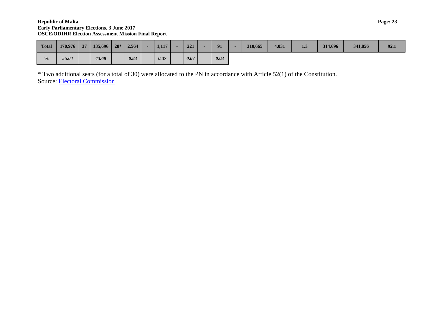#### **Republic of Malta** Page: 23 **Early Parliamentary Elections, 3 June 2017 OSCE/ODIHR Election Assessment Mission Final Report**

| <b>Total</b>  | 170,976 | 37 | 135.696 | $28*$ | 2,564 | 1,117 | 221  | 91   | 310,665 | 4,031 | 1.3 | 314,696 | 341,856 | 92.1 |
|---------------|---------|----|---------|-------|-------|-------|------|------|---------|-------|-----|---------|---------|------|
| $\frac{0}{0}$ | 55.04   |    | 43.68   |       | 0.83  | 0.37  | 0.07 | 0.03 |         |       |     |         |         |      |

\* Two additional seats (for a total of 30) were allocated to the PN in accordance with Article 52(1) of the Constitution. Source: [Electoral Commission](https://electoral.gov.mt/)